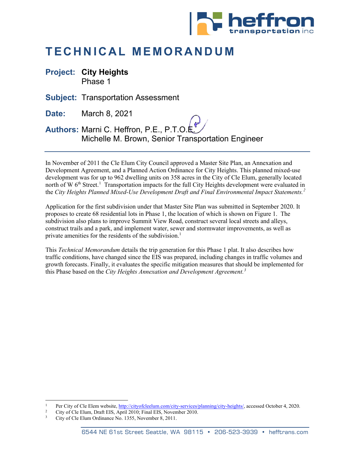

# **TECHNICAL MEMORANDUM**

**Project: City Heights** Phase 1

**Subject:** Transportation Assessment

**Date:** March 8, 2021

**Authors:** Marni C. Heffron, P.E., P.T.O.E. Michelle M. Brown, Senior Transportation Engineer

In November of 2011 the Cle Elum City Council approved a Master Site Plan, an Annexation and Development Agreement, and a Planned Action Ordinance for City Heights. This planned mixed-use development was for up to 962 dwelling units on 358 acres in the City of Cle Elum, generally located north of W 6<sup>th</sup> Street.<sup>[1](#page-0-0)</sup> Transportation impacts for the full City Heights development were evaluated in the *City Heights Planned Mixed-Use Development Draft and Final Environmental Impact Statements.[2](#page-0-1)*

Application for the first subdivision under that Master Site Plan was submitted in September 2020. It proposes to create 68 residential lots in Phase 1, the location of which is shown on Figure 1. The subdivision also plans to improve Summit View Road, construct several local streets and alleys, construct trails and a park, and implement water, sewer and stormwater improvements, as well as private amenities for the residents of the subdivision.<sup>1</sup>

This *Technical Memorandum* details the trip generation for this Phase 1 plat. It also describes how traffic conditions, have changed since the EIS was prepared, including changes in traffic volumes and growth forecasts. Finally, it evaluates the specific mitigation measures that should be implemented for this Phase based on the *City Heights Annexation and Development Agreement.[3](#page-0-2)*

<span id="page-0-1"></span><span id="page-0-0"></span><sup>&</sup>lt;sup>1</sup> Per City of Cle Elem website, <u>http://cityofcleelum.com/city-services/planning/city-heights/</u>, accessed October 4, 2020.<br><sup>2</sup> City of Cle Elum, Draft EIS, April 2010; Final EIS, November 2010.<br><sup>3</sup> City of Cle Elum Ordin

<span id="page-0-2"></span>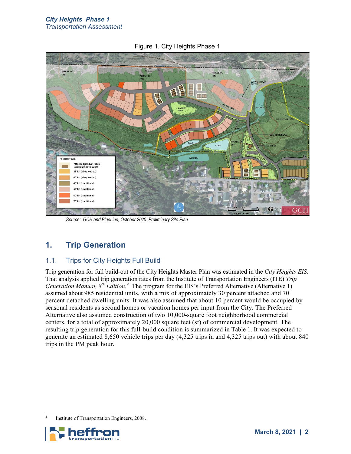

Figure 1. City Heights Phase 1

*Source: GCH and BlueLine, October 2020. Preliminary Site Plan.* 

# **1. Trip Generation**

### 1.1. Trips for City Heights Full Build

Trip generation for full build-out of the City Heights Master Plan was estimated in the *City Heights EIS.*  That analysis applied trip generation rates from the Institute of Transportation Engineers (ITE) *Trip Generation Manual, 8th Edition.[4](#page-1-0)* The program for the EIS's Preferred Alternative (Alternative 1) assumed about 985 residential units, with a mix of approximately 30 percent attached and 70 percent detached dwelling units. It was also assumed that about 10 percent would be occupied by seasonal residents as second homes or vacation homes per input from the City. The Preferred Alternative also assumed construction of two 10,000-square foot neighborhood commercial centers, for a total of approximately 20,000 square feet (sf) of commercial development. The resulting trip generation for this full-build condition is summarized in Table 1. It was expected to generate an estimated 8,650 vehicle trips per day (4,325 trips in and 4,325 trips out) with about 840 trips in the PM peak hour.

<span id="page-1-0"></span>Institute of Transportation Engineers, 2008.

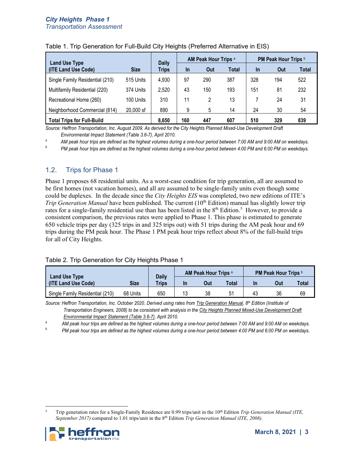| <b>Land Use Type</b>              |             | <b>Daily</b> | <b>AM Peak Hour Trips a</b> |     |       | <b>PM Peak Hour Trips b</b> |     |       |
|-----------------------------------|-------------|--------------|-----------------------------|-----|-------|-----------------------------|-----|-------|
| (ITE Land Use Code)               | <b>Size</b> | <b>Trips</b> | In                          | Out | Total | In                          | Out | Total |
| Single Family Residential (210)   | 515 Units   | 4,930        | 97                          | 290 | 387   | 328                         | 194 | 522   |
| Multifamily Residential (220)     | 374 Units   | 2,520        | 43                          | 150 | 193   | 151                         | 81  | 232   |
| Recreational Home (260)           | 100 Units   | 310          | 11                          |     | 13    |                             | 24  | 31    |
| Neighborhood Commercial (814)     | 20,000 sf   | 890          | 9                           | 5   | 14    | 24                          | 30  | 54    |
| <b>Total Trips for Full-Build</b> |             | 8.650        | 160                         | 447 | 607   | 510                         | 329 | 839   |

#### Table 1. Trip Generation for Full-Build City Heights (Preferred Alternative in EIS)

*Source: Heffron Transportation, Inc. August 2009. As derived for the City Heights Planned Mixed-Use Development Draft* 

*Environmental Impact Statement (Table 3.6-7), April 2010. a AM peak hour trips are defined as the highest volumes during a one-hour period between 7:00 AM and 9:00 AM on weekdays.*

*b PM peak hour trips are defined as the highest volumes during a one-hour period between 4:00 PM and 6:00 PM on weekdays.*

#### 1.2. Trips for Phase 1

Phase 1 proposes 68 residential units. As a worst-case condition for trip generation, all are assumed to be first homes (not vacation homes), and all are assumed to be single-family units even though some could be duplexes. In the decade since the *City Heights EIS* was completed, two new editions of ITE's *Trip Generation Manual* have been published. The current (10<sup>th</sup> Edition) manual has slightly lower trip rates for a single-family residential use than has been listed in the 8<sup>th</sup> Edition.<sup>5</sup> However, to provide a consistent comparison, the previous rates were applied to Phase 1. This phase is estimated to generate 650 vehicle trips per day (325 trips in and 325 trips out) with 51 trips during the AM peak hour and 69 trips during the PM peak hour. The Phase 1 PM peak hour trips reflect about 8% of the full-build trips for all of City Heights.

#### Table 2. Trip Generation for City Heights Phase 1

|                                      |             |                              | <b>AM Peak Hour Trips a</b> |     |       | <b>PM Peak Hour Trips b</b> |     |       |
|--------------------------------------|-------------|------------------------------|-----------------------------|-----|-------|-----------------------------|-----|-------|
| Land Use Type<br>(ITE Land Use Code) | <b>Size</b> | <b>Daily</b><br><b>Trips</b> | <b>In</b>                   | Out | Total | In                          | Out | Total |
| Single Family Residential (210)      | 68 Units    | 650                          |                             | 38  |       | 43                          | 36  | 69    |

*Source: Heffron Transportation, Inc. October 2020. Derived using rates from Trip Generation Manual, 8th Edition (Institute of* 

*Transportation Engineers, 2008) to be consistent with analysis in the City Heights Planned Mixed-Use Development Draft* 

*Environmental Impact Statement (Table 3.6-7), April 2010. a AM peak hour trips are defined as the highest volumes during a one-hour period between 7:00 AM and 9:00 AM on weekdays.*

*b PM peak hour trips are defined as the highest volumes during a one-hour period between 4:00 PM and 6:00 PM on weekdays.*

<span id="page-2-0"></span><sup>5</sup> Trip generation rates for a Single-Family Residence are 0.99 trips/unit in the 10th Edition *Trip Generation Manual (ITE, September 2017)* compared to 1.01 trips/unit in the 8<sup>th</sup> Edition *Trip Generation Manual (ITE, 2008)*.

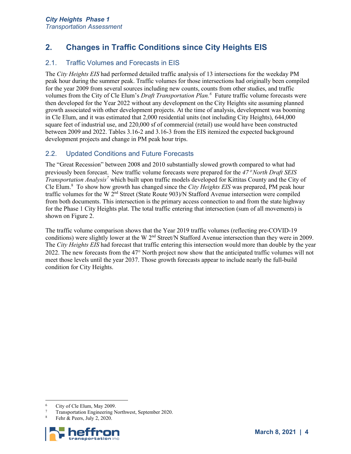# **2. Changes in Traffic Conditions since City Heights EIS**

### 2.1. Traffic Volumes and Forecasts in EIS

The *City Heights EIS* had performed detailed traffic analysis of 13 intersections for the weekday PM peak hour during the summer peak. Traffic volumes for those intersections had originally been compiled for the year 2009 from several sources including new counts, counts from other studies, and traffic volumes from the City of Cle Elum's *Draft Transportation Plan.[6](#page-3-0)* Future traffic volume forecasts were then developed for the Year 2022 without any development on the City Heights site assuming planned growth associated with other development projects. At the time of analysis, development was booming in Cle Elum, and it was estimated that 2,000 residential units (not including City Heights), 644,000 square feet of industrial use, and 220,000 sf of commercial (retail) use would have been constructed between 2009 and 2022. Tables 3.16-2 and 3.16-3 from the EIS itemized the expected background development projects and change in PM peak hour trips.

### 2.2. Updated Conditions and Future Forecasts

The "Great Recession" between 2008 and 2010 substantially slowed growth compared to what had previously been forecast. New traffic volume forecasts were prepared for the *47*° *North Draft SEIS Transportation Analysis[7](#page-3-1)* which built upon traffic models developed for Kittitas County and the City of Cle Elum.[8](#page-3-2) To show how growth has changed since the *City Heights EIS* was prepared, PM peak hour traffic volumes for the W 2nd Street (State Route 903)/N Stafford Avenue intersection were compiled from both documents. This intersection is the primary access connection to and from the state highway for the Phase 1 City Heights plat. The total traffic entering that intersection (sum of all movements) is shown on [Figure 2.](#page-4-0)

The traffic volume comparison shows that the Year 2019 traffic volumes (reflecting pre-COVID-19 conditions) were slightly lower at the W 2<sup>nd</sup> Street/N Stafford Avenue intersection than they were in 2009. The *City Heights EIS* had forecast that traffic entering this intersection would more than double by the year 2022. The new forecasts from the 47° North project now show that the anticipated traffic volumes will not meet those levels until the year 2037. Those growth forecasts appear to include nearly the full-build condition for City Heights.

<span id="page-3-2"></span><span id="page-3-1"></span>

<span id="page-3-0"></span><sup>&</sup>lt;sup>6</sup> City of Cle Elum, May 2009.<br><sup>7</sup> Transportation Engineering Northwest, September 2020.<br><sup>8</sup> Fehr & Peers, July 2, 2020.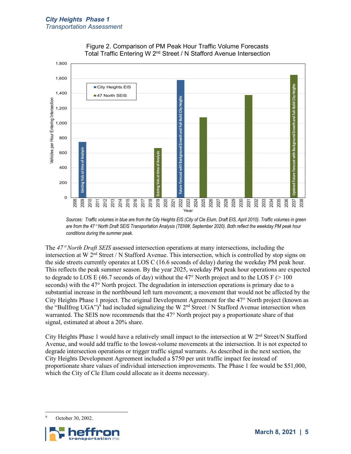<span id="page-4-0"></span>



*Sources: Traffic volumes in blue are from the City Heights EIS (City of Cle Elum, Draft EIS, April 2010). Traffic volumes in green are from the 47*° *North Draft SEIS Transportation Analysis (TENW, September 2020). Both reflect the weekday PM peak hour conditions during the summer peak.* 

The *47*° *North Draft SEIS* assessed intersection operations at many intersections, including the intersection at W 2nd Street / N Stafford Avenue. This intersection, which is controlled by stop signs on the side streets currently operates at LOS C (16.6 seconds of delay) during the weekday PM peak hour. This reflects the peak summer season. By the year 2025, weekday PM peak hour operations are expected to degrade to LOS E (46.7 seconds of day) without the 47 $\degree$  North project and to the LOS F ( $> 100$ seconds) with the 47° North project. The degradation in intersection operations is primary due to a substantial increase in the northbound left turn movement; a movement that would not be affected by the City Heights Phase 1 project. The original Development Agreement for the 47° North project (known as the "Bullfrog UGA")<sup>[9](#page-4-1)</sup> had included signalizing the W 2<sup>nd</sup> Street / N Stafford Avenue intersection when warranted. The SEIS now recommends that the 47° North project pay a proportionate share of that signal, estimated at about a 20% share.

City Heights Phase 1 would have a relatively small impact to the intersection at W 2nd Street/N Stafford Avenue, and would add traffic to the lowest-volume movements at the intersection. It is not expected to degrade intersection operations or trigger traffic signal warrants. As described in the next section, the City Heights Development Agreement included a \$750 per unit traffic impact fee instead of proportionate share values of individual intersection improvements. The Phase 1 fee would be \$51,000, which the City of Cle Elum could allocate as it deems necessary.

<span id="page-4-1"></span>October 30, 2002.

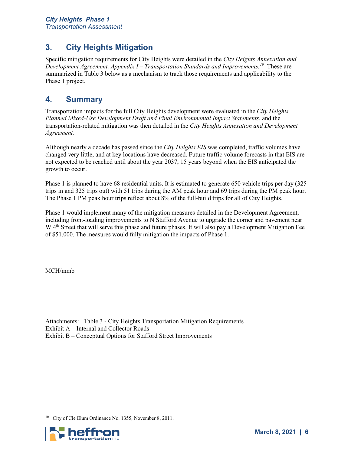# **3. City Heights Mitigation**

Specific mitigation requirements for City Heights were detailed in the *City Heights Annexation and Development Agreement, Appendix I – Transportation Standards and Improvements. [10](#page-5-0)* These are summarized in [Table 3](#page-6-0) below as a mechanism to track those requirements and applicability to the Phase 1 project.

## **4. Summary**

Transportation impacts for the full City Heights development were evaluated in the *City Heights Planned Mixed-Use Development Draft and Final Environmental Impact Statements*, and the transportation-related mitigation was then detailed in the *City Heights Annexation and Development Agreement.*

Although nearly a decade has passed since the *City Heights EIS* was completed, traffic volumes have changed very little, and at key locations have decreased. Future traffic volume forecasts in that EIS are not expected to be reached until about the year 2037, 15 years beyond when the EIS anticipated the growth to occur.

Phase 1 is planned to have 68 residential units. It is estimated to generate 650 vehicle trips per day (325 trips in and 325 trips out) with 51 trips during the AM peak hour and 69 trips during the PM peak hour. The Phase 1 PM peak hour trips reflect about 8% of the full-build trips for all of City Heights.

Phase 1 would implement many of the mitigation measures detailed in the Development Agreement, including front-loading improvements to N Stafford Avenue to upgrade the corner and pavement near W 4<sup>th</sup> Street that will serve this phase and future phases. It will also pay a Development Mitigation Fee of \$51,000. The measures would fully mitigation the impacts of Phase 1.

MCH/mmb

Attachments: Table 3 - City Heights Transportation Mitigation Requirements Exhibit A – Internal and Collector Roads Exhibit B – Conceptual Options for Stafford Street Improvements

<span id="page-5-0"></span><sup>10</sup> City of Cle Elum Ordinance No. 1355, November 8, 2011.